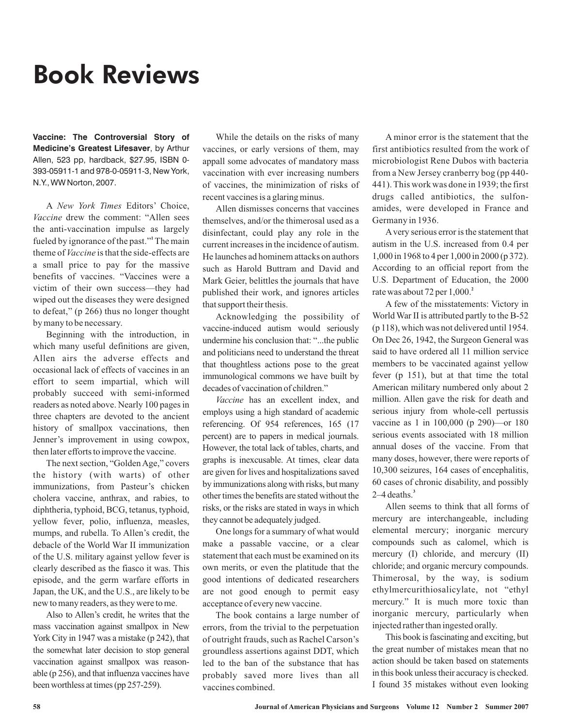# Book Reviews

**Vaccine: The Controversial Story of Medicine's Greatest Lifesaver**, by Arthur Allen, 523 pp, hardback, \$27.95, ISBN 0- 393-05911-1 and 978-0-05911-3, New York, N.Y., WW Norton, 2007.

A New York Times Editors' Choice, Vaccine drew the comment: "Allen sees the anti-vaccination impulse as largely fueled by ignorance of the past."<sup>1</sup> The main theme of *Vaccine* is that the side-effects are a small price to pay for the massive benefits of vaccines. "Vaccines were a victim of their own success—they had wiped out the diseases they were designed to defeat," (p 266) thus no longer thought by many to be necessary.

Beginning with the introduction, in which many useful definitions are given, Allen airs the adverse effects and occasional lack of effects of vaccines in an effort to seem impartial, which will probably succeed with semi-informed readers as noted above. Nearly 100 pages in three chapters are devoted to the ancient history of smallpox vaccinations, then Jenner's improvement in using cowpox, then later efforts to improve the vaccine.

The next section, "Golden Age," covers the history (with warts) of other immunizations, from Pasteur's chicken cholera vaccine, anthrax, and rabies, to diphtheria, typhoid, BCG, tetanus, typhoid, yellow fever, polio, influenza, measles, mumps, and rubella. To Allen's credit, the debacle of the World War II immunization of the U.S. military against yellow fever is clearly described as the fiasco it was. This episode, and the germ warfare efforts in Japan, the UK, and the U.S., are likely to be new to many readers, as they were to me.

Also to Allen's credit, he writes that the mass vaccination against smallpox in New York City in 1947 was a mistake (p 242), that the somewhat later decision to stop general vaccination against smallpox was reasonable (p 256), and that influenza vaccines have been worthless at times (pp 257-259).

While the details on the risks of many vaccines, or early versions of them, may appall some advocates of mandatory mass vaccination with ever increasing numbers of vaccines, the minimization of risks of recent vaccines is a glaring minus.

Allen dismisses concerns that vaccines themselves, and/or the thimerosal used as a disinfectant, could play any role in the current increases in the incidence of autism. He launches ad hominem attacks on authors such as Harold Buttram and David and Mark Geier, belittles the journals that have published their work, and ignores articles that support their thesis.

Acknowledging the possibility of vaccine-induced autism would seriously undermine his conclusion that: "...the public and politicians need to understand the threat that thoughtless actions pose to the great immunological commons we have built by decades of vaccination of children."

Vaccine has an excellent index, and employs using a high standard of academic referencing. Of 954 references, 165 (17 percent) are to papers in medical journals. However, the total lack of tables, charts, and graphs is inexcusable. At times, clear data are given for lives and hospitalizations saved by immunizations along with risks, but many other times the benefits are stated without the risks, or the risks are stated in ways in which they cannot be adequately judged.

One longs for a summary of what would make a passable vaccine, or a clear statement that each must be examined on its own merits, or even the platitude that the good intentions of dedicated researchers are not good enough to permit easy acceptance of every new vaccine.

The book contains a large number of errors, from the trivial to the perpetuation of outright frauds, such as Rachel Carson's groundless assertions against DDT, which led to the ban of the substance that has probably saved more lives than all vaccines combined.

A minor error is the statement that the first antibiotics resulted from the work of microbiologist Rene Dubos with bacteria from a New Jersey cranberry bog (pp 440- 441). This work was done in 1939; the first drugs called antibiotics, the sulfonamides, were developed in France and Germanyin 1936.

A very serious error is the statement that autism in the U.S. increased from 0.4 per 1,000 in 1968 to 4 per 1,000 in 2000 (p 372). According to an official report from the U.S. Department of Education, the 2000 rate was about 72 per 1,000. **2**

A few of the misstatements: Victory in World War II is attributed partly to the B-52 (p 118), which was not delivered until 1954. On Dec 26, 1942, the Surgeon General was said to have ordered all 11 million service members to be vaccinated against yellow fever (p 151), but at that time the total American military numbered only about 2 million. Allen gave the risk for death and serious injury from whole-cell pertussis vaccine as 1 in 100,000 (p 290)—or 180 serious events associated with 18 million annual doses of the vaccine. From that many doses, however, there were reports of 10,300 seizures, 164 cases of encephalitis, 60 cases of chronic disability, and possibly 2–4 deaths. **3**

Allen seems to think that all forms of mercury are interchangeable, including elemental mercury; inorganic mercury compounds such as calomel, which is mercury (I) chloride, and mercury (II) chloride; and organic mercury compounds. Thimerosal, by the way, is sodium ethylmercurithiosalicylate, not "ethyl mercury." It is much more toxic than inorganic mercury, particularly when injected rather than ingested orally.

This book is fascinating and exciting, but the great number of mistakes mean that no action should be taken based on statements in this book unless their accuracy is checked. I found 35 mistakes without even looking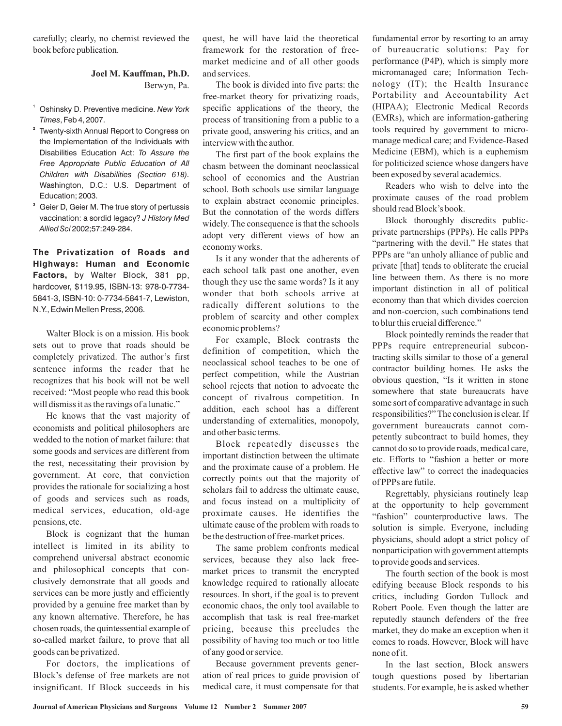carefully; clearly, no chemist reviewed the book before publication.

## Berwyn, Pa. **Joel M. Kauffman, Ph.D.**

- **1** Oshinsky D. Preventive medicine. *New York* , Feb 4, 2007. *Times*
- **2** Twenty-sixth Annual Report to Congress on the Implementation of the Individuals with Disabilities Education Act: *To Assure the* Washington, D.C.: U.S. Department of Education; 2003. *Free Appropriate Public Education of All Children with Disabilities (Section 618).*
- **3** Geier D, Geier M. The true story of pertussis vaccination: a sordid legacy? *J History Med* 2002;57:249-284. *Allied Sci*

**The Privatization of Roads and Highways: Human and Economic Factors,** by Walter Block, 381 pp, hardcover, \$119.95, ISBN-13: 978-0-7734- 5841-3, ISBN-10: 0-7734-5841-7, Lewiston, N.Y., Edwin Mellen Press, 2006.

Walter Block is on a mission. His book sets out to prove that roads should be completely privatized. The author's first sentence informs the reader that he recognizes that his book will not be well received: "Most people who read this book will dismiss it as the ravings of a lunatic."

He knows that the vast majority of economists and political philosophers are wedded to the notion of market failure: that some goods and services are different from the rest, necessitating their provision by government. At core, that conviction provides the rationale for socializing a host of goods and services such as roads, medical services, education, old-age pensions, etc.

Block is cognizant that the human intellect is limited in its ability to comprehend universal abstract economic and philosophical concepts that conclusively demonstrate that all goods and services can be more justly and efficiently provided by a genuine free market than by any known alternative. Therefore, he has chosen roads, the quintessential example of so-called market failure, to prove that all goods can be privatized.

For doctors, the implications of Block's defense of free markets are not insignificant. If Block succeeds in his

quest, he will have laid the theoretical framework for the restoration of freemarket medicine and of all other goods and services.

The book is divided into five parts: the free-market theory for privatizing roads, specific applications of the theory, the process of transitioning from a public to a private good, answering his critics, and an interview with the author.

The first part of the book explains the chasm between the dominant neoclassical school of economics and the Austrian school. Both schools use similar language to explain abstract economic principles. But the connotation of the words differs widely. The consequence is that the schools adopt very different views of how an economy works.

Is it any wonder that the adherents of each school talk past one another, even though they use the same words? Is it any wonder that both schools arrive at radically different solutions to the problem of scarcity and other complex economic problems?

For example, Block contrasts the definition of competition, which the neoclassical school teaches to be one of perfect competition, while the Austrian school rejects that notion to advocate the concept of rivalrous competition. In addition, each school has a different understanding of externalities, monopoly, and other basic terms.

Block repeatedly discusses the important distinction between the ultimate and the proximate cause of a problem. He correctly points out that the majority of scholars fail to address the ultimate cause, and focus instead on a multiplicity of proximate causes. He identifies the ultimate cause of the problem with roads to be the destruction of free-market prices.

The same problem confronts medical services, because they also lack freemarket prices to transmit the encrypted knowledge required to rationally allocate resources. In short, if the goal is to prevent economic chaos, the only tool available to accomplish that task is real free-market pricing, because this precludes the possibility of having too much or too little of any good or service.

Because government prevents generation of real prices to guide provision of medical care, it must compensate for that

fundamental error by resorting to an array of bureaucratic solutions: Pay for performance (P4P), which is simply more micromanaged care; Information Technology (IT); the Health Insurance Portability and Accountability Act (HIPAA); Electronic Medical Records (EMRs), which are information-gathering tools required by government to micromanage medical care; and Evidence-Based Medicine (EBM), which is a euphemism for politicized science whose dangers have been exposed by several academics.

Readers who wish to delve into the proximate causes of the road problem should read Block's book.

Block thoroughly discredits publicprivate partnerships (PPPs). He calls PPPs "partnering with the devil." He states that PPPs are "an unholy alliance of public and private [that] tends to obliterate the crucial line between them. As there is no more important distinction in all of political economy than that which divides coercion and non-coercion, such combinations tend to blur this crucial difference."

Block pointedly reminds the reader that PPPs require entrepreneurial subcontracting skills similar to those of a general contractor building homes. He asks the obvious question, "Is it written in stone somewhere that state bureaucrats have some sort of comparative advantage in such responsibilities?" The conclusion is clear. If government bureaucrats cannot competently subcontract to build homes, they cannot do so to provide roads, medical care, etc. Efforts to "fashion a better or more effective law" to correct the inadequacies of PPPs are futile.

Regrettably, physicians routinely leap at the opportunity to help government "fashion" counterproductive laws. The solution is simple. Everyone, including physicians, should adopt a strict policy of nonparticipation with government attempts to provide goods and services.

The fourth section of the book is most edifying because Block responds to his critics, including Gordon Tullock and Robert Poole. Even though the latter are reputedly staunch defenders of the free market, they do make an exception when it comes to roads. However, Block will have none of it.

In the last section, Block answers tough questions posed by libertarian students. For example, he is asked whether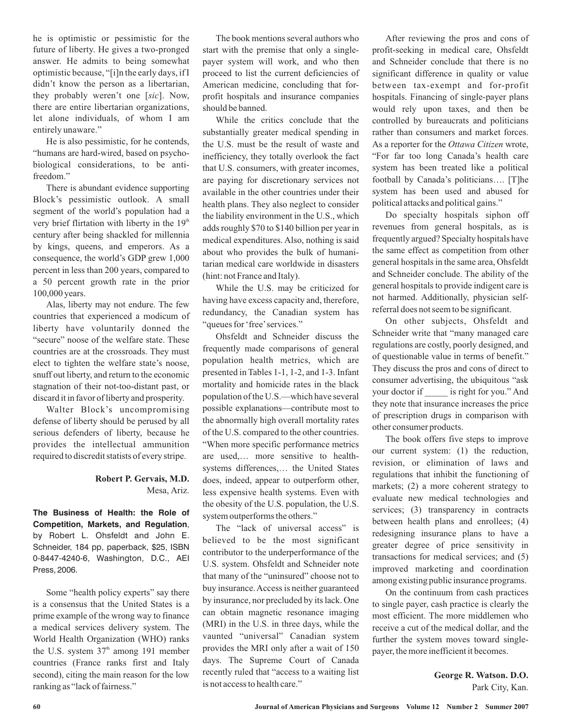he is optimistic or pessimistic for the future of liberty. He gives a two-pronged answer. He admits to being somewhat optimistic because, "[i]n the early days, if I didn't know the person as a libertarian, they probably weren't one [sic]. Now, there are entire libertarian organizations, let alone individuals, of whom I am entirely unaware."

He is also pessimistic, for he contends, "humans are hard-wired, based on psychobiological considerations, to be antifreedom."

There is abundant evidence supporting Block's pessimistic outlook. A small segment of the world's population had a very brief flirtation with liberty in the 19<sup>th</sup> century after being shackled for millennia by kings, queens, and emperors. As a consequence, the world's GDP grew 1,000 percent in less than 200 years, compared to a 50 percent growth rate in the prior 100,000 years.

Alas, liberty may not endure. The few countries that experienced a modicum of liberty have voluntarily donned the "secure" noose of the welfare state. These countries are at the crossroads. They must elect to tighten the welfare state's noose, snuff out liberty, and return to the economic stagnation of their not-too-distant past, or discard it in favor of liberty and prosperity.

Walter Block's uncompromising defense of liberty should be perused by all serious defenders of liberty, because he provides the intellectual ammunition required to discredit statists of every stripe.

#### Mesa, Ariz. **Robert P. Gervais, M.D.**

**The Business of Health: the Role of Competition, Markets, and Regulation**, by Robert L. Ohsfeldt and John E. Schneider, 184 pp, paperback, \$25, ISBN 0-8447-4240-6, Washington, D.C., AEI Press, 2006.

Some "health policy experts" say there is a consensus that the United States is a prime example of the wrong way to finance a medical services delivery system. The World Health Organization (WHO) ranks the U.S. system  $37<sup>th</sup>$  among 191 member countries (France ranks first and Italy second), citing the main reason for the low ranking as "lack of fairness."

The book mentions several authors who start with the premise that only a singlepayer system will work, and who then proceed to list the current deficiencies of American medicine, concluding that forprofit hospitals and insurance companies should be banned.

While the critics conclude that the substantially greater medical spending in the U.S. must be the result of waste and inefficiency, they totally overlook the fact that U.S. consumers, with greater incomes, are paying for discretionary services not available in the other countries under their health plans. They also neglect to consider the liability environment in the U.S., which adds roughly \$70 to \$140 billion per year in medical expenditures. Also, nothing is said about who provides the bulk of humanitarian medical care worldwide in disasters (hint: not France and Italy).

While the U.S. may be criticized for having have excess capacity and, therefore, redundancy, the Canadian system has "queues for 'free'services."

Ohsfeldt and Schneider discuss the frequently made comparisons of general population health metrics, which are presented in Tables 1-1, 1-2, and 1-3. Infant mortality and homicide rates in the black population of the U.S.—which have several possible explanations—contribute most to the abnormally high overall mortality rates of the U.S. compared to the other countries. "When more specific performance metrics are used,… more sensitive to healthsystems differences,… the United States does, indeed, appear to outperform other, less expensive health systems. Even with the obesity of the U.S. population, the U.S. system outperforms the others."

The "lack of universal access" is believed to be the most significant contributor to the underperformance of the U.S. system. Ohsfeldt and Schneider note that many of the "uninsured" choose not to buy insurance.Access is neither guaranteed by insurance, nor precluded by its lack. One can obtain magnetic resonance imaging (MRI) in the U.S. in three days, while the vaunted "universal" Canadian system provides the MRI only after a wait of 150 days. The Supreme Court of Canada recently ruled that "access to a waiting list is not access to health care."

After reviewing the pros and cons of profit-seeking in medical care, Ohsfeldt and Schneider conclude that there is no significant difference in quality or value between tax-exempt and for-profit hospitals. Financing of single-payer plans would rely upon taxes, and then be controlled by bureaucrats and politicians rather than consumers and market forces. As a reporter for the Ottawa Citizen wrote, "For far too long Canada's health care system has been treated like a political football by Canada's politicians…. [T]he system has been used and abused for political attacks and political gains."

Do specialty hospitals siphon off revenues from general hospitals, as is frequently argued? Specialty hospitals have the same effect as competition from other general hospitals in the same area, Ohsfeldt and Schneider conclude. The ability of the general hospitals to provide indigent care is not harmed. Additionally, physician selfreferral does not seem to be significant.

On other subjects, Ohsfeldt and Schneider write that "many managed care regulations are costly, poorly designed, and of questionable value in terms of benefit." They discuss the pros and cons of direct to consumer advertising, the ubiquitous "ask your doctor if \_\_\_\_\_ is right for you." And they note that insurance increases the price of prescription drugs in comparison with other consumer products.

The book offers five steps to improve our current system: (1) the reduction, revision, or elimination of laws and regulations that inhibit the functioning of markets; (2) a more coherent strategy to evaluate new medical technologies and services; (3) transparency in contracts between health plans and enrollees; (4) redesigning insurance plans to have a greater degree of price sensitivity in transactions for medical services; and (5) improved marketing and coordination among existing public insurance programs.

On the continuum from cash practices to single payer, cash practice is clearly the most efficient. The more middlemen who receive a cut of the medical dollar, and the further the system moves toward singlepayer, the more inefficient it becomes.

> Park City, Kan. **George R. Watson. D.O.**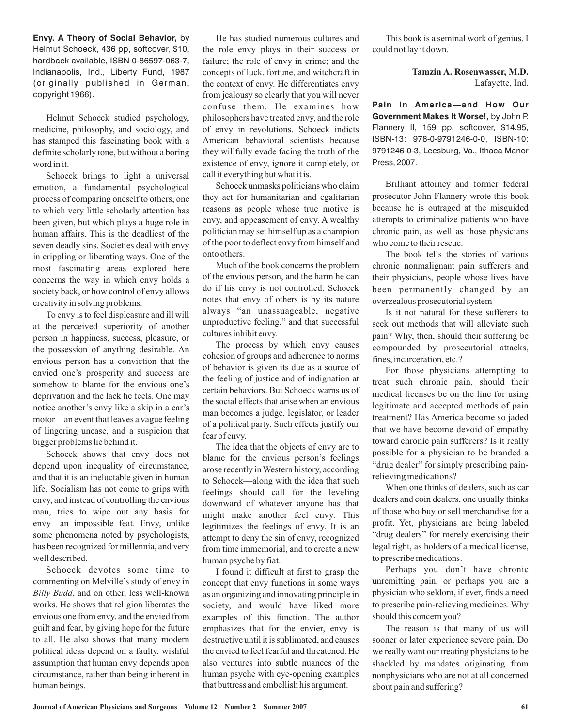**Envy. A Theory of Social Behavior,** by Helmut Schoeck, 436 pp, softcover, \$10, hardback available, ISBN 0-86597-063-7, Indianapolis, Ind., Liberty Fund, 1987 (originally published in German, copyright 1966).

Helmut Schoeck studied psychology, medicine, philosophy, and sociology, and has stamped this fascinating book with a definite scholarly tone, but without a boring word in it.

Schoeck brings to light a universal emotion, a fundamental psychological process of comparing oneself to others, one to which very little scholarly attention has been given, but which plays a huge role in human affairs. This is the deadliest of the seven deadly sins. Societies deal with envy in crippling or liberating ways. One of the most fascinating areas explored here concerns the way in which envy holds a society back, or how control of envy allows creativity in solving problems.

To envy is to feel displeasure and ill will at the perceived superiority of another person in happiness, success, pleasure, or the possession of anything desirable. An envious person has a conviction that the envied one's prosperity and success are somehow to blame for the envious one's deprivation and the lack he feels. One may notice another's envy like a skip in a car's motor—an event that leaves a vague feeling of lingering unease, and a suspicion that bigger problems lie behind it.

Schoeck shows that envy does not depend upon inequality of circumstance, and that it is an ineluctable given in human life. Socialism has not come to grips with envy, and instead of controlling the envious man, tries to wipe out any basis for envy—an impossible feat. Envy, unlike some phenomena noted by psychologists, has been recognized for millennia, and very well described.

Schoeck devotes some time to commenting on Melville's study of envy in Billy Budd, and on other, less well-known works. He shows that religion liberates the envious one from envy, and the envied from guilt and fear, by giving hope for the future to all. He also shows that many modern political ideas depend on a faulty, wishful assumption that human envy depends upon circumstance, rather than being inherent in human beings.

He has studied numerous cultures and the role envy plays in their success or failure; the role of envy in crime; and the concepts of luck, fortune, and witchcraft in the context of envy. He differentiates envy from jealousy so clearly that you will never confuse them. He examines how philosophers have treated envy, and the role of envy in revolutions. Schoeck indicts American behavioral scientists because they willfully evade facing the truth of the existence of envy, ignore it completely, or call it everything but what it is.

Schoeck unmasks politicians who claim they act for humanitarian and egalitarian reasons as people whose true motive is envy, and appeasement of envy. A wealthy politician may set himself up as a champion of the poor to deflect envy from himself and onto others.

Much of the book concerns the problem of the envious person, and the harm he can do if his envy is not controlled. Schoeck notes that envy of others is by its nature always "an unassuageable, negative unproductive feeling," and that successful cultures inhibit envy.

The process by which envy causes cohesion of groups and adherence to norms of behavior is given its due as a source of the feeling of justice and of indignation at certain behaviors. But Schoeck warns us of the social effects that arise when an envious man becomes a judge, legislator, or leader of a political party. Such effects justify our fear of envy.

The idea that the objects of envy are to blame for the envious person's feelings arose recently inWestern history, according to Schoeck—along with the idea that such feelings should call for the leveling downward of whatever anyone has that might make another feel envy. This legitimizes the feelings of envy. It is an attempt to deny the sin of envy, recognized from time immemorial, and to create a new human psyche by fiat.

I found it difficult at first to grasp the concept that envy functions in some ways as an organizing and innovating principle in society, and would have liked more examples of this function. The author emphasizes that for the envier, envy is destructive until it is sublimated, and causes the envied to feel fearful and threatened. He also ventures into subtle nuances of the human psyche with eye-opening examples that buttress and embellish his argument.

This book is a seminal work of genius. I could not lay it down.

> Lafayette, Ind. **Tamzin A. Rosenwasser, M.D.**

**Pain in America—and How Our Government Makes It Worse!,** by John P. Flannery II, 159 pp, softcover, \$14.95, ISBN-13: 978-0-9791246-0-0, ISBN-10: 9791246-0-3, Leesburg, Va., Ithaca Manor Press, 2007.

Brilliant attorney and former federal prosecutor John Flannery wrote this book because he is outraged at the misguided attempts to criminalize patients who have chronic pain, as well as those physicians who come to their rescue.

The book tells the stories of various chronic nonmalignant pain sufferers and their physicians, people whose lives have been permanently changed by an overzealous prosecutorial system

Is it not natural for these sufferers to seek out methods that will alleviate such pain? Why, then, should their suffering be compounded by prosecutorial attacks, fines, incarceration, etc.?

For those physicians attempting to treat such chronic pain, should their medical licenses be on the line for using legitimate and accepted methods of pain treatment? Has America become so jaded that we have become devoid of empathy toward chronic pain sufferers? Is it really possible for a physician to be branded a "drug dealer" for simply prescribing painrelieving medications?

When one thinks of dealers, such as car dealers and coin dealers, one usually thinks of those who buy or sell merchandise for a profit. Yet, physicians are being labeled "drug dealers" for merely exercising their legal right, as holders of a medical license, to prescribe medications.

Perhaps you don't have chronic unremitting pain, or perhaps you are a physician who seldom, if ever, finds a need to prescribe pain-relieving medicines. Why should this concern you?

The reason is that many of us will sooner or later experience severe pain. Do we really want our treating physicians to be shackled by mandates originating from nonphysicians who are not at all concerned about pain and suffering?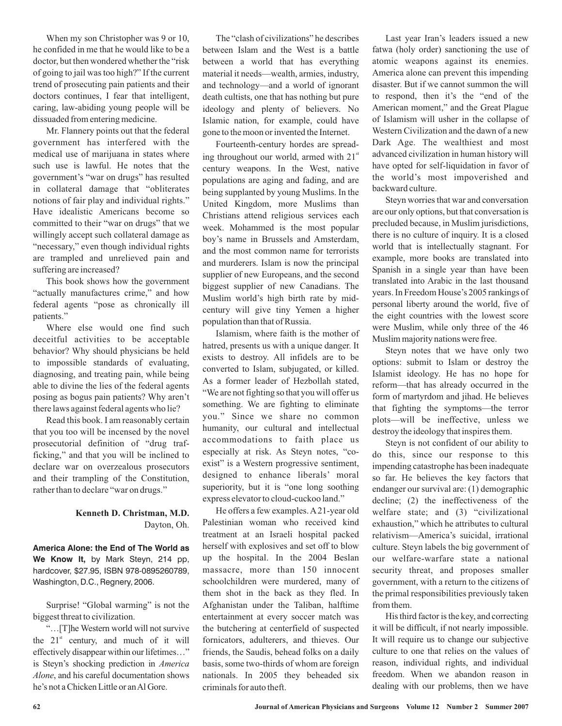When my son Christopher was 9 or 10, he confided in me that he would like to be a doctor, but then wondered whether the "risk of going to jail was too high?" If the current trend of prosecuting pain patients and their doctors continues, I fear that intelligent, caring, law-abiding young people will be dissuaded from entering medicine.

Mr. Flannery points out that the federal government has interfered with the medical use of marijuana in states where such use is lawful. He notes that the government's "war on drugs" has resulted in collateral damage that "obliterates notions of fair play and individual rights." Have idealistic Americans become so committed to their "war on drugs" that we willingly accept such collateral damage as "necessary," even though individual rights are trampled and unrelieved pain and suffering are increased?

This book shows how the government "actually manufactures crime," and how federal agents "pose as chronically ill patients."

Where else would one find such deceitful activities to be acceptable behavior? Why should physicians be held to impossible standards of evaluating, diagnosing, and treating pain, while being able to divine the lies of the federal agents posing as bogus pain patients? Why aren't there laws against federal agents who lie?

Read this book. I am reasonably certain that you too will be incensed by the novel prosecutorial definition of "drug trafficking," and that you will be inclined to declare war on overzealous prosecutors and their trampling of the Constitution, rather than to declare "war on drugs."

## Dayton, Oh. **Kenneth D. Christman, M.D.**

**America Alone: the End of The World as We Know It,** by Mark Steyn, 214 pp, hardcover, \$27.95, ISBN 978-0895260789, Washington, D.C., Regnery, 2006.

Surprise! "Global warming" is not the biggest threat to civilization.

"…[T]he Western world will not survive the  $21<sup>st</sup>$  century, and much of it will effectively disappear within our lifetimes…" is Steyn's shocking prediction in *America* , and his careful documentation shows *Alone* he's not a Chicken Little or an Al Gore.

The "clash of civilizations" he describes between Islam and the West is a battle between a world that has everything material it needs—wealth, armies, industry, and technology—and a world of ignorant death cultists, one that has nothing but pure ideology and plenty of believers. No Islamic nation, for example, could have gone to the moon or invented the Internet.

Fourteenth-century hordes are spreading throughout our world, armed with 21<sup>st</sup> century weapons. In the West, native populations are aging and fading, and are being supplanted by young Muslims. In the United Kingdom, more Muslims than Christians attend religious services each week. Mohammed is the most popular boy's name in Brussels and Amsterdam, and the most common name for terrorists and murderers. Islam is now the principal supplier of new Europeans, and the second biggest supplier of new Canadians. The Muslim world's high birth rate by midcentury will give tiny Yemen a higher population than that of Russia.

Islamism, where faith is the mother of hatred, presents us with a unique danger. It exists to destroy. All infidels are to be converted to Islam, subjugated, or killed. As a former leader of Hezbollah stated, "We are not fighting so that you will offer us something. We are fighting to eliminate you." Since we share no common humanity, our cultural and intellectual accommodations to faith place us especially at risk. As Steyn notes, "coexist" is a Western progressive sentiment, designed to enhance liberals' moral superiority, but it is "one long soothing express elevator to cloud-cuckoo land."

He offers a few examples.A 21-year old Palestinian woman who received kind treatment at an Israeli hospital packed herself with explosives and set off to blow up the hospital. In the 2004 Beslan massacre, more than 150 innocent schoolchildren were murdered, many of them shot in the back as they fled. In Afghanistan under the Taliban, halftime entertainment at every soccer match was the butchering at centerfield of suspected fornicators, adulterers, and thieves. Our friends, the Saudis, behead folks on a daily basis, some two-thirds of whom are foreign nationals. In 2005 they beheaded six criminals for auto theft.

Last year Iran's leaders issued a new fatwa (holy order) sanctioning the use of atomic weapons against its enemies. America alone can prevent this impending disaster. But if we cannot summon the will to respond, then it's the "end of the American moment," and the Great Plague of Islamism will usher in the collapse of Western Civilization and the dawn of a new Dark Age. The wealthiest and most advanced civilization in human history will have opted for self-liquidation in favor of the world's most impoverished and backward culture.

Steyn worries that war and conversation are our only options, but that conversation is precluded because, in Muslim jurisdictions, there is no culture of inquiry. It is a closed world that is intellectually stagnant. For example, more books are translated into Spanish in a single year than have been translated into Arabic in the last thousand years. In Freedom House's 2005 rankings of personal liberty around the world, five of the eight countries with the lowest score were Muslim, while only three of the 46 Muslim majority nations were free.

Steyn notes that we have only two options: submit to Islam or destroy the Islamist ideology. He has no hope for reform—that has already occurred in the form of martyrdom and jihad. He believes that fighting the symptoms—the terror plots—will be ineffective, unless we destroy the ideology that inspires them.

Steyn is not confident of our ability to do this, since our response to this impending catastrophe has been inadequate so far. He believes the key factors that endanger our survival are: (1) demographic decline; (2) the ineffectiveness of the welfare state; and (3) "civilizational exhaustion," which he attributes to cultural relativism—America's suicidal, irrational culture. Steyn labels the big government of our welfare-warfare state a national security threat, and proposes smaller government, with a return to the citizens of the primal responsibilities previously taken from them.

His third factor is the key, and correcting it will be difficult, if not nearly impossible. It will require us to change our subjective culture to one that relies on the values of reason, individual rights, and individual freedom. When we abandon reason in dealing with our problems, then we have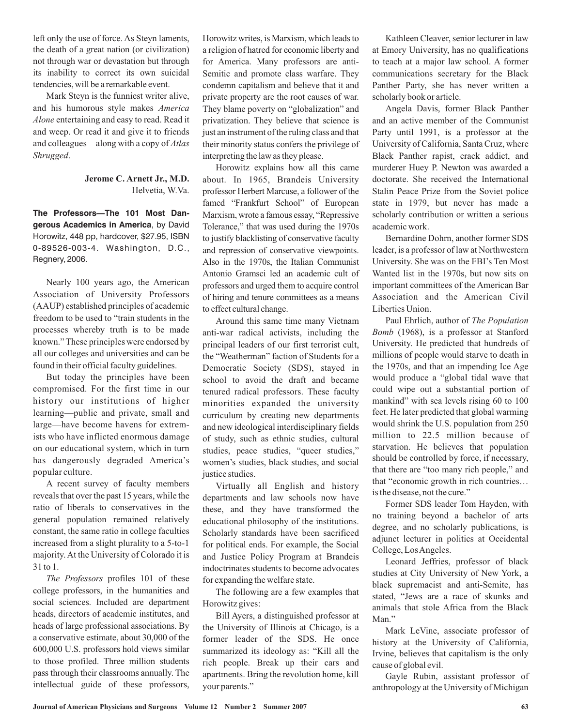left only the use of force. As Steyn laments, the death of a great nation (or civilization) not through war or devastation but through its inability to correct its own suicidal tendencies, will be a remarkable event.

Mark Steyn is the funniest writer alive, and his humorous style makes *America* Alone entertaining and easy to read. Read it and weep. Or read it and give it to friends and colleagues—along with a copy of *Atlas* . *Shrugged*

### Helvetia, W.Va. **Jerome C. Arnett Jr., M.D.**

**The Professors—The 101 Most Dangerous Academics in America**, by David Horowitz, 448 pp, hardcover, \$27.95, ISBN 0-89526-003-4. Washington, D.C., Regnery, 2006.

Nearly 100 years ago, the American Association of University Professors (AAUP) established principles of academic freedom to be used to "train students in the processes whereby truth is to be made known." These principles were endorsed by all our colleges and universities and can be found in their official faculty guidelines.

But today the principles have been compromised. For the first time in our history our institutions of higher learning—public and private, small and large—have become havens for extremists who have inflicted enormous damage on our educational system, which in turn has dangerously degraded America's popular culture.

A recent survey of faculty members reveals that over the past 15 years, while the ratio of liberals to conservatives in the general population remained relatively constant, the same ratio in college faculties increased from a slight plurality to a 5-to-1 majority. At the University of Colorado it is 31 to 1.

The Professors profiles 101 of these college professors, in the humanities and social sciences. Included are department heads, directors of academic institutes, and heads of large professional associations. By a conservative estimate, about 30,000 of the 600,000 U.S. professors hold views similar to those profiled. Three million students pass through their classrooms annually. The intellectual guide of these professors,

Horowitz writes, is Marxism, which leads to a religion of hatred for economic liberty and for America. Many professors are anti-Semitic and promote class warfare. They condemn capitalism and believe that it and private property are the root causes of war. They blame poverty on "globalization" and privatization. They believe that science is just an instrument of the ruling class and that their minority status confers the privilege of interpreting the law as they please.

Horowitz explains how all this came about. In 1965, Brandeis University professor Herbert Marcuse, a follower of the famed "Frankfurt School" of European Marxism, wrote a famous essay, "Repressive Tolerance," that was used during the 1970s to justify blacklisting of conservative faculty and repression of conservative viewpoints. Also in the 1970s, the Italian Communist Antonio Gramsci led an academic cult of professors and urged them to acquire control of hiring and tenure committees as a means to effect cultural change.

Around this same time many Vietnam anti-war radical activists, including the principal leaders of our first terrorist cult, the "Weatherman" faction of Students for a Democratic Society (SDS), stayed in school to avoid the draft and became tenured radical professors. These faculty minorities expanded the university curriculum by creating new departments and new ideological interdisciplinary fields of study, such as ethnic studies, cultural studies, peace studies, "queer studies," women's studies, black studies, and social justice studies.

Virtually all English and history departments and law schools now have these, and they have transformed the educational philosophy of the institutions. Scholarly standards have been sacrificed for political ends. For example, the Social and Justice Policy Program at Brandeis indoctrinates students to become advocates for expanding the welfare state.

The following are a few examples that Horowitz gives:

Bill Ayers, a distinguished professor at the University of Illinois at Chicago, is a former leader of the SDS. He once summarized its ideology as: "Kill all the rich people. Break up their cars and apartments. Bring the revolution home, kill your parents."

Kathleen Cleaver, senior lecturer in law at Emory University, has no qualifications to teach at a major law school. A former communications secretary for the Black Panther Party, she has never written a scholarly book or article.

Angela Davis, former Black Panther and an active member of the Communist Party until 1991, is a professor at the University of California, Santa Cruz, where Black Panther rapist, crack addict, and murderer Huey P. Newton was awarded a doctorate. She received the International Stalin Peace Prize from the Soviet police state in 1979, but never has made a scholarly contribution or written a serious academic work.

Bernardine Dohrn, another former SDS leader, is a professor of law at Northwestern University. She was on the FBI's Ten Most Wanted list in the 1970s, but now sits on important committees of the American Bar Association and the American Civil Liberties Union.

Paul Ehrlich, author of *The Population* (1968), is a professor at Stanford *Bomb* University. He predicted that hundreds of millions of people would starve to death in the 1970s, and that an impending Ice Age would produce a "global tidal wave that could wipe out a substantial portion of mankind" with sea levels rising 60 to 100 feet. He later predicted that global warming would shrink the U.S. population from 250 million to 22.5 million because of starvation. He believes that population should be controlled by force, if necessary, that there are "too many rich people," and that "economic growth in rich countries… is the disease, not the cure."

Former SDS leader Tom Hayden, with no training beyond a bachelor of arts degree, and no scholarly publications, is adjunct lecturer in politics at Occidental College, LosAngeles.

Leonard Jeffries, professor of black studies at City University of New York, a black supremacist and anti-Semite, has stated, "Jews are a race of skunks and animals that stole Africa from the Black Man."

Mark LeVine, associate professor of history at the University of California, Irvine, believes that capitalism is the only cause of global evil.

Gayle Rubin, assistant professor of anthropology at the University of Michigan